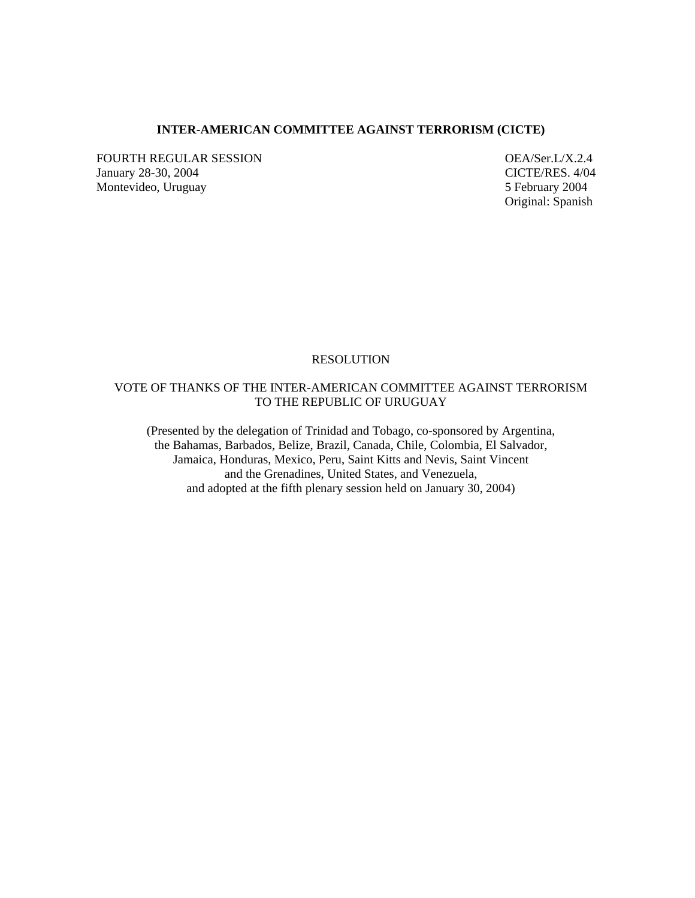## **INTER-AMERICAN COMMITTEE AGAINST TERRORISM (CICTE)**

FOURTH REGULAR SESSION<br>
January 28-30, 2004<br>
CICTE/RES. 4/04 January 28-30, 2004 Montevideo, Uruguay 5 February 2004

Original: Spanish

#### **RESOLUTION**

## VOTE OF THANKS OF THE INTER-AMERICAN COMMITTEE AGAINST TERRORISM TO THE REPUBLIC OF URUGUAY

(Presented by the delegation of Trinidad and Tobago, co-sponsored by Argentina, the Bahamas, Barbados, Belize, Brazil, Canada, Chile, Colombia, El Salvador, Jamaica, Honduras, Mexico, Peru, Saint Kitts and Nevis, Saint Vincent and the Grenadines, United States, and Venezuela, and adopted at the fifth plenary session held on January 30, 2004)